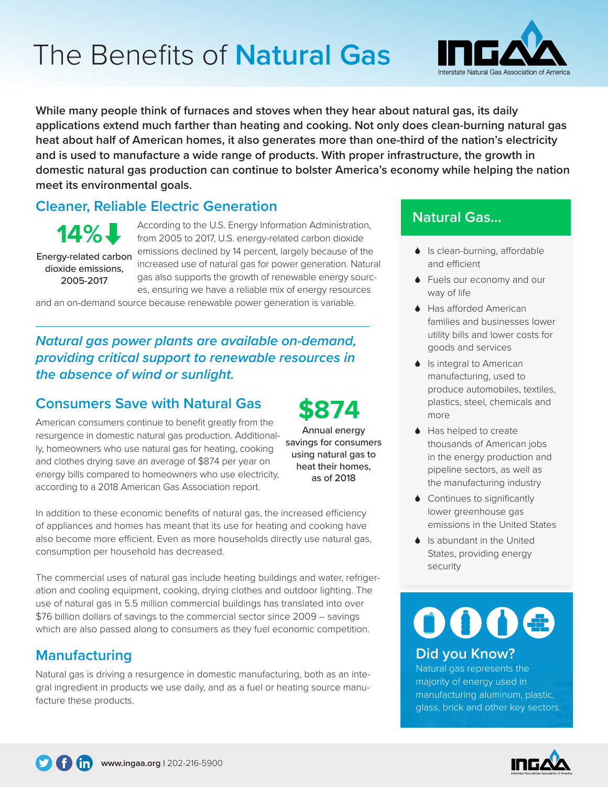# The Benefits of **Natural Gas**



**While many people think of furnaces and stoves when they hear about natural gas, its daily applications extend much farther than heating and cooking. Not only does clean-burning natural gas heat about half of American homes, it also generates more than one-third of the nation's electricity and is used to manufacture a wide range of products. With proper infrastructure, the growth in domestic natural gas production can continue to bolster America's economy while helping the nation meet its environmental goals.**

# **Cleaner, Reliable Electric Generation**

Energy-related carbon dioxide emissions, **14%** 

2005-2017

According to the U.S. Energy Information Administration, from 2005 to 2017, U.S. energy-related carbon dioxide emissions declined by 14 percent, largely because of the increased use of natural gas for power generation. Natural gas also supports the growth of renewable energy sources, ensuring we have a reliable mix of energy resources

and an on-demand source because renewable power generation is variable.

*Natural gas power plants are available on-demand, providing critical support to renewable resources in the absence of wind or sunlight.*

### **Consumers Save with Natural Gas**

American consumers continue to benefit greatly from the resurgence in domestic natural gas production. Additionally, homeowners who use natural gas for heating, cooking and clothes drying save an average of \$874 per year on energy bills compared to homeowners who use electricity, according to a 2018 American Gas Association report.

Annual energy savings for consumers using natural gas to heat their homes, as of 2018 **\$874**

In addition to these economic benefits of natural gas, the increased efficiency of appliances and homes has meant that its use for heating and cooking have also become more efficient. Even as more households directly use natural gas, consumption per household has decreased.

The commercial uses of natural gas include heating buildings and water, refrigeration and cooling equipment, cooking, drying clothes and outdoor lighting. The use of natural gas in 5.5 million commercial buildings has translated into over \$76 billion dollars of savings to the commercial sector since 2009 – savings which are also passed along to consumers as they fuel economic competition.

### **Manufacturing**

Natural gas is driving a resurgence in domestic manufacturing, both as an integral ingredient in products we use daily, and as a fuel or heating source manufacture these products.

# **Natural Gas...**

- $\bullet$  Is clean-burning, affordable and efficient
- $\bullet$  Fuels our economy and our way of life
- $\triangle$  Has afforded American families and businesses lower utility bills and lower costs for goods and services
- $\bullet$  Is integral to American manufacturing, used to produce automobiles, textiles, plastics, steel, chemicals and more
- $\triangle$  Has helped to create thousands of American jobs in the energy production and pipeline sectors, as well as the manufacturing industry
- $\bullet$  Continues to significantly lower greenhouse gas emissions in the United States
- $\bullet$  Is abundant in the United States, providing energy security

# 0000

#### **Did you Know?**

Natural gas represents the majority of energy used in manufacturing aluminum, plastic, glass, brick and other key sectors.